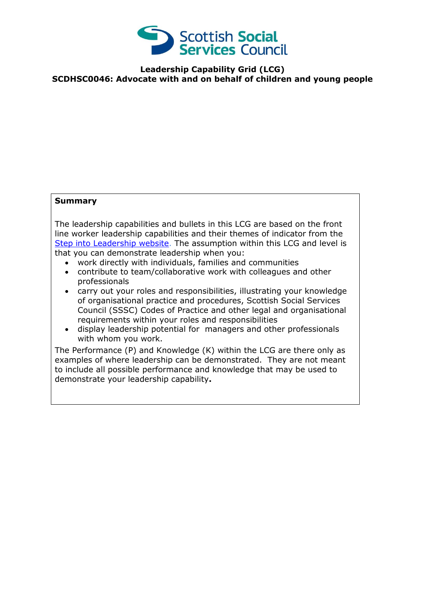

## **Leadership Capability Grid (LCG) SCDHSC0046: Advocate with and on behalf of children and young people**

## **Summary**

The leadership capabilities and bullets in this LCG are based on the front line worker leadership capabilities and their themes of indicator from the [Step into Leadership website.](http://www.stepintoleadership.info/) The assumption within this LCG and level is that you can demonstrate leadership when you:

- work directly with individuals, families and communities
- contribute to team/collaborative work with colleagues and other professionals
- carry out your roles and responsibilities, illustrating your knowledge of organisational practice and procedures, Scottish Social Services Council (SSSC) Codes of Practice and other legal and organisational requirements within your roles and responsibilities
- display leadership potential for managers and other professionals with whom you work.

The Performance (P) and Knowledge (K) within the LCG are there only as examples of where leadership can be demonstrated. They are not meant to include all possible performance and knowledge that may be used to demonstrate your leadership capability**.**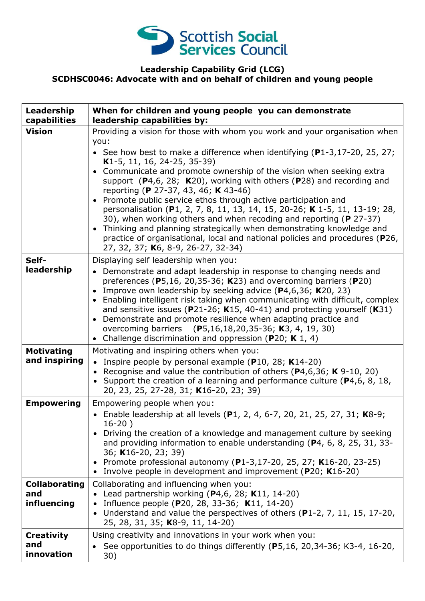

## **Leadership Capability Grid (LCG) SCDHSC0046: Advocate with and on behalf of children and young people**

| Leadership<br>capabilities                 | When for children and young people you can demonstrate<br>leadership capabilities by:                                                                                                                                                                                                                                                                                                                                                                                                                                                                                                                                                                                                                                                                                                                                            |  |  |
|--------------------------------------------|----------------------------------------------------------------------------------------------------------------------------------------------------------------------------------------------------------------------------------------------------------------------------------------------------------------------------------------------------------------------------------------------------------------------------------------------------------------------------------------------------------------------------------------------------------------------------------------------------------------------------------------------------------------------------------------------------------------------------------------------------------------------------------------------------------------------------------|--|--|
| <b>Vision</b>                              | Providing a vision for those with whom you work and your organisation when<br>you:<br>• See how best to make a difference when identifying $(P1-3, 17-20, 25, 27)$<br>K1-5, 11, 16, 24-25, 35-39)<br>• Communicate and promote ownership of the vision when seeking extra<br>support $(P4,6, 28; K20)$ , working with others $(P28)$ and recording and<br>reporting (P 27-37, 43, 46; K 43-46)<br>• Promote public service ethos through active participation and<br>personalisation (P1, 2, 7, 8, 11, 13, 14, 15, 20-26; K 1-5, 11, 13-19; 28,<br>30), when working others and when recoding and reporting (P 27-37)<br>Thinking and planning strategically when demonstrating knowledge and<br>$\bullet$<br>practice of organisational, local and national policies and procedures (P26,<br>27, 32, 37; K6, 8-9, 26-27, 32-34) |  |  |
| Self-<br>leadership                        | Displaying self leadership when you:<br>• Demonstrate and adapt leadership in response to changing needs and<br>preferences (P5,16, 20,35-36; K23) and overcoming barriers (P20)<br>Improve own leadership by seeking advice $(P4, 6, 36; K20, 23)$<br>• Enabling intelligent risk taking when communicating with difficult, complex<br>and sensitive issues ( $P$ 21-26; K15, 40-41) and protecting yourself (K31)<br>• Demonstrate and promote resilience when adapting practice and<br>overcoming barriers (P5,16,18,20,35-36; K3, 4, 19, 30)<br>• Challenge discrimination and oppression (P20; K 1, 4)                                                                                                                                                                                                                      |  |  |
| <b>Motivating</b><br>and inspiring         | Motivating and inspiring others when you:<br>• Inspire people by personal example ( $P10$ , 28; K14-20)<br>• Recognise and value the contribution of others (P4,6,36; K 9-10, 20)<br>• Support the creation of a learning and performance culture (P4,6, 8, 18,<br>20, 23, 25, 27-28, 31; K16-20, 23; 39)                                                                                                                                                                                                                                                                                                                                                                                                                                                                                                                        |  |  |
| <b>Empowering</b>                          | Empowering people when you:<br>• Enable leadership at all levels (P1, 2, 4, 6-7, 20, 21, 25, 27, 31; K8-9;<br>$16-20)$<br>Driving the creation of a knowledge and management culture by seeking<br>and providing information to enable understanding (P4, 6, 8, 25, 31, 33-<br>36; K16-20, 23; 39)<br>• Promote professional autonomy (P1-3,17-20, 25, 27; K16-20, 23-25)<br>Involve people in development and improvement (P20; K16-20)                                                                                                                                                                                                                                                                                                                                                                                         |  |  |
| <b>Collaborating</b><br>and<br>influencing | Collaborating and influencing when you:<br>Lead partnership working (P4,6, 28; K11, 14-20)<br>Influence people (P20, 28, 33-36; K11, 14-20)<br>Understand and value the perspectives of others (P1-2, 7, 11, 15, 17-20,<br>$\bullet$<br>25, 28, 31, 35; K8-9, 11, 14-20)                                                                                                                                                                                                                                                                                                                                                                                                                                                                                                                                                         |  |  |
| <b>Creativity</b><br>and<br>innovation     | Using creativity and innovations in your work when you:<br>See opportunities to do things differently (P5,16, 20,34-36; K3-4, 16-20,<br>30)                                                                                                                                                                                                                                                                                                                                                                                                                                                                                                                                                                                                                                                                                      |  |  |